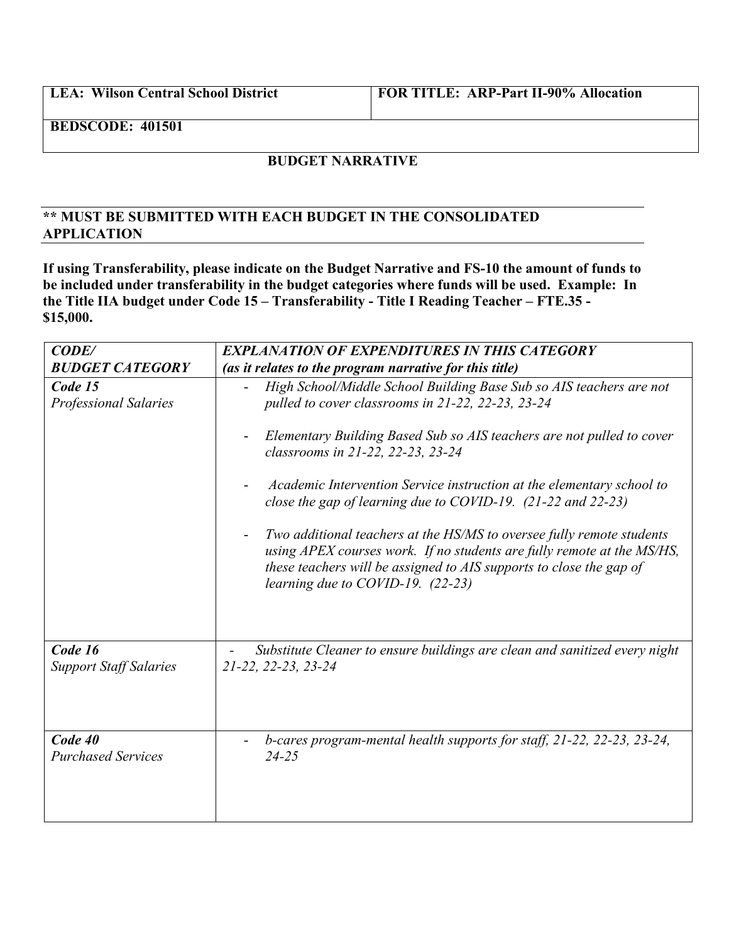**LEA: Wilson Central School District FOR TITLE: ARP-Part II-90% Allocation**

**BEDSCODE: 401501**

## **BUDGET NARRATIVE**

## **\*\* MUST BE SUBMITTED WITH EACH BUDGET IN THE CONSOLIDATED APPLICATION**

**If using Transferability, please indicate on the Budget Narrative and FS-10 the amount of funds to be included under transferability in the budget categories where funds will be used. Example: In the Title IIA budget under Code 15 – Transferability - Title I Reading Teacher – FTE.35 - \$15,000.**

| CODE/                                    | <b>EXPLANATION OF EXPENDITURES IN THIS CATEGORY</b>                                                                                                                                                                                                                                                                                                                                                                                                                                                                                                                                                                                                       |
|------------------------------------------|-----------------------------------------------------------------------------------------------------------------------------------------------------------------------------------------------------------------------------------------------------------------------------------------------------------------------------------------------------------------------------------------------------------------------------------------------------------------------------------------------------------------------------------------------------------------------------------------------------------------------------------------------------------|
| <b>BUDGET CATEGORY</b>                   | (as it relates to the program narrative for this title)                                                                                                                                                                                                                                                                                                                                                                                                                                                                                                                                                                                                   |
| Code 15<br><b>Professional Salaries</b>  | High School/Middle School Building Base Sub so AIS teachers are not<br>pulled to cover classrooms in 21-22, 22-23, 23-24<br>Elementary Building Based Sub so AIS teachers are not pulled to cover<br>classrooms in 21-22, 22-23, 23-24<br>Academic Intervention Service instruction at the elementary school to<br>close the gap of learning due to COVID-19. $(21-22 \text{ and } 22-23)$<br>Two additional teachers at the HS/MS to oversee fully remote students<br>using APEX courses work. If no students are fully remote at the MS/HS,<br>these teachers will be assigned to AIS supports to close the gap of<br>learning due to COVID-19. (22-23) |
| Code 16<br><b>Support Staff Salaries</b> | Substitute Cleaner to ensure buildings are clean and sanitized every night<br>21-22, 22-23, 23-24                                                                                                                                                                                                                                                                                                                                                                                                                                                                                                                                                         |
| Code 40<br><b>Purchased Services</b>     | b-cares program-mental health supports for staff, 21-22, 22-23, 23-24,<br>$24 - 25$                                                                                                                                                                                                                                                                                                                                                                                                                                                                                                                                                                       |